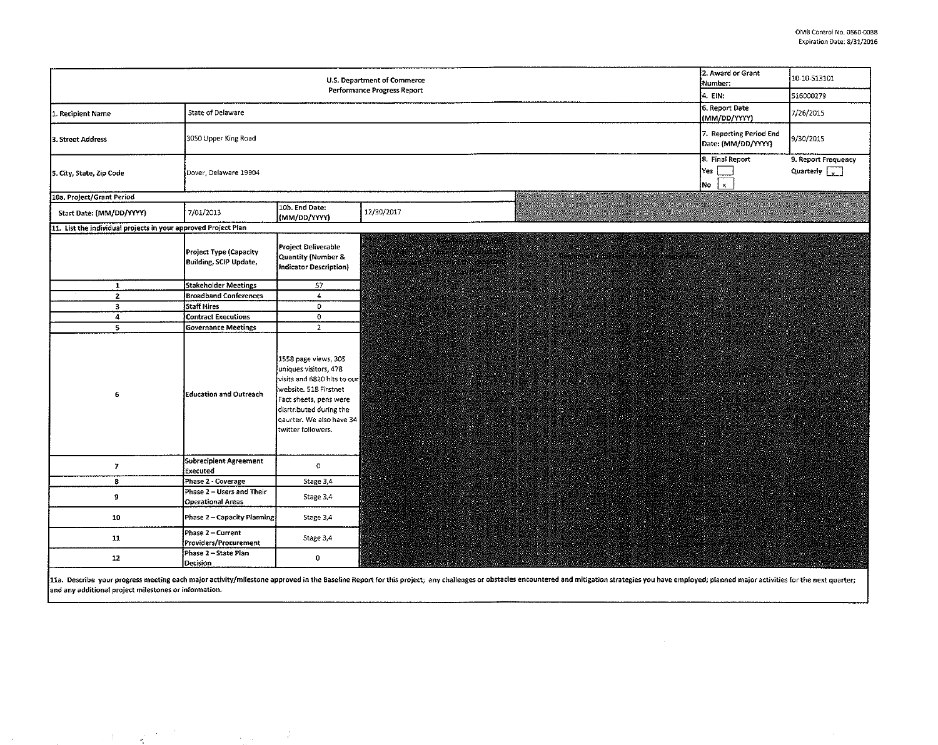| 2. Award or Grant<br>U.S. Department of Commerce<br>Number:<br>Performance Progress Report<br>4. EIN: |                                                       |                                                                                                                                                                                                              |                                                      |                            |                                               | 10-10-513101                                     |
|-------------------------------------------------------------------------------------------------------|-------------------------------------------------------|--------------------------------------------------------------------------------------------------------------------------------------------------------------------------------------------------------------|------------------------------------------------------|----------------------------|-----------------------------------------------|--------------------------------------------------|
|                                                                                                       |                                                       |                                                                                                                                                                                                              |                                                      |                            |                                               | 516000279                                        |
| 1. Recipient Name                                                                                     | State of Delaware                                     |                                                                                                                                                                                                              |                                                      |                            | 6. Report Date<br>(MM/DD/YYYY)                | 7/26/2015                                        |
| 3. Street Address                                                                                     | 3050 Upper King Road                                  |                                                                                                                                                                                                              |                                                      |                            | 7. Reporting Period End<br>Date: (MM/DD/YYYY) | 9/30/2015                                        |
| 5. City, State, Zip Code                                                                              | Dover, Delaware 19904                                 |                                                                                                                                                                                                              |                                                      |                            | 8. Final Report<br>Yes<br>$\mathbf{x}$<br>No  | 9. Report Frequency<br>Quarterly $\boxed{\cdot}$ |
| 10a. Project/Grant Period                                                                             |                                                       |                                                                                                                                                                                                              |                                                      |                            |                                               |                                                  |
| Start Date: (MM/DD/YYYY)                                                                              | 7/01/2013                                             | 10b. End Date:<br>(MM/DD/YYYY)                                                                                                                                                                               | 12/30/2017                                           |                            |                                               |                                                  |
| 11. List the individual projects in your approved Project Plan                                        |                                                       |                                                                                                                                                                                                              |                                                      |                            |                                               |                                                  |
|                                                                                                       | Project Type (Capacity<br>Building, SCIP Update,      | Project Deliverable<br>Quantity (Number &<br>Indicator Description)                                                                                                                                          | ayan wasan katika 20<br>en en de la<br><b>PERSON</b> | Gebeure Des Reines Der Lie |                                               |                                                  |
| $\mathbf{1}$                                                                                          | <b>Stakeholder Meetings</b>                           | 57                                                                                                                                                                                                           |                                                      |                            |                                               |                                                  |
| $\overline{2}$                                                                                        | <b>Broadband Conferences</b>                          | $\overline{4}$                                                                                                                                                                                               |                                                      |                            |                                               |                                                  |
| $\overline{\mathbf{3}}$                                                                               | Staff Hires                                           | $\bullet$                                                                                                                                                                                                    |                                                      |                            |                                               |                                                  |
| $\boldsymbol{4}$                                                                                      | <b>Contract Executions</b>                            | $\overline{0}$                                                                                                                                                                                               |                                                      |                            |                                               |                                                  |
|                                                                                                       | <b>Governance Meetings</b>                            | $\overline{2}$                                                                                                                                                                                               |                                                      |                            |                                               |                                                  |
| 6                                                                                                     | <b>Education and Outreach</b>                         | 1558 page views, 305<br>uniques visitors, 478<br>visits and 6820 hits to our<br>website. 518 Firstnet<br>Fact sheets, pens were<br>disrtributed during the<br>gaurter. We also have 34<br>twitter followers. |                                                      |                            |                                               |                                                  |
| $\overline{7}$                                                                                        | Subrecipient Agreement<br>Executed                    | $\circ$                                                                                                                                                                                                      |                                                      |                            |                                               |                                                  |
| 8                                                                                                     | Phase 2 - Coverage                                    | Stage 3.4                                                                                                                                                                                                    |                                                      |                            |                                               |                                                  |
| 9                                                                                                     | Phase 2 - Users and Their<br><b>Operational Areas</b> | Stage 3,4                                                                                                                                                                                                    |                                                      |                            |                                               |                                                  |
| 10                                                                                                    | Phase 2 - Capacity Planning                           | Stage 3,4                                                                                                                                                                                                    |                                                      |                            |                                               |                                                  |
| 11                                                                                                    | Phase 2 - Current<br>Providers/Procurement            | Stage 3,4                                                                                                                                                                                                    |                                                      |                            |                                               |                                                  |
| 12                                                                                                    | Phase 2 - State Plan<br>Decision                      | $\mathbf 0$                                                                                                                                                                                                  |                                                      |                            |                                               |                                                  |

11a. Describe your progress meeting each major activity/milestone approved in the Baseline Report for this project; any challenges or obstacles encountered and mitigation strategies you have employed; planned major activit and any additional project milestones or information.

1. 经国际财产的

 $\sim$ 

 $\sim$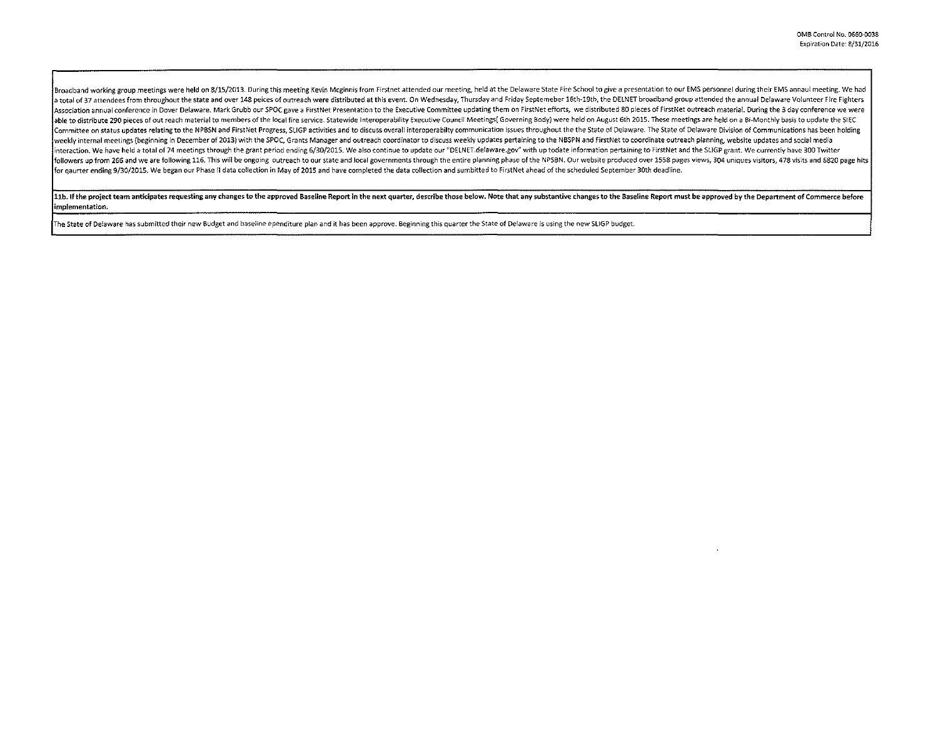|<br>Broadband working group meetings were held on 8/15/2013. During this meeting Kevin Mcginnis from Firstnet attended our meeting, held at the Delaware State Fire School to give a presentation to our EMS personnel during th a total of 37 attendees from throughout the state and over 148 peices of outreach were distributed at this event. On Wednesday, Thursday and Friday Septemeber 16th-19th, the DELNET broadband group attended the annual Delaw Association annual conference in Dover Delaware. Mark Grubb our SPOC gave a FirstNet Presentation to the Executive Committee updating them on FirstNet efforts, we distributed 80 pieces of FirstNet outreach material. During able to distribute 290 pieces of out reach material to members of the local fire service. Statewide Interoperability Executive Council Meetings( Governing Body) were held on August 6th 2015. These meetings are held on a Bi Committee on status updates relating to the NPBSN and FirstNet Progress, SLIGP activities and to discuss overall interoperabilty communication issues throughout the the State of Delaware. The State of Delaware Division of weekly internal meetings (beginning in December of 2013) with the SPOC. Grants Manager and outreach coordinator to discuss weekly updates pertaining to the NBSPN and FirstNet to coordinate outreach planning, website update interaction. We have held a total of 74 meetings through the grant period ending 6/30/2015. We also continue to update our "DELNET.delaware.gov" with up todate information pertaining to FirstNet and the SLIGP grant. We cur followers up from 266 and we are following 116. This will be ongoing outreach to our state and local governments through the entire planning phase of the NPSBN. Our website produced over 1558 pages views, 304 uniques visit for gaurter ending 9/30/2015. We began our Phase II data collection in May of 2015 and have completed the data collection and sumbitted to FirstNet ahead of the scheduled September 30th deadline.

11b. If the project team anticipates requesting any changes to the approved Baseline Report in the next quarter, describe those below. Note that any substantive changes to the Baseline Report must be approved by the Depart implementation.

The State of Delaware has submitted their new Budget and baseline ependiture plan and it has been approve. Beginning this quarter the State of Delaware is using the new SLIGP budget. ··-·---~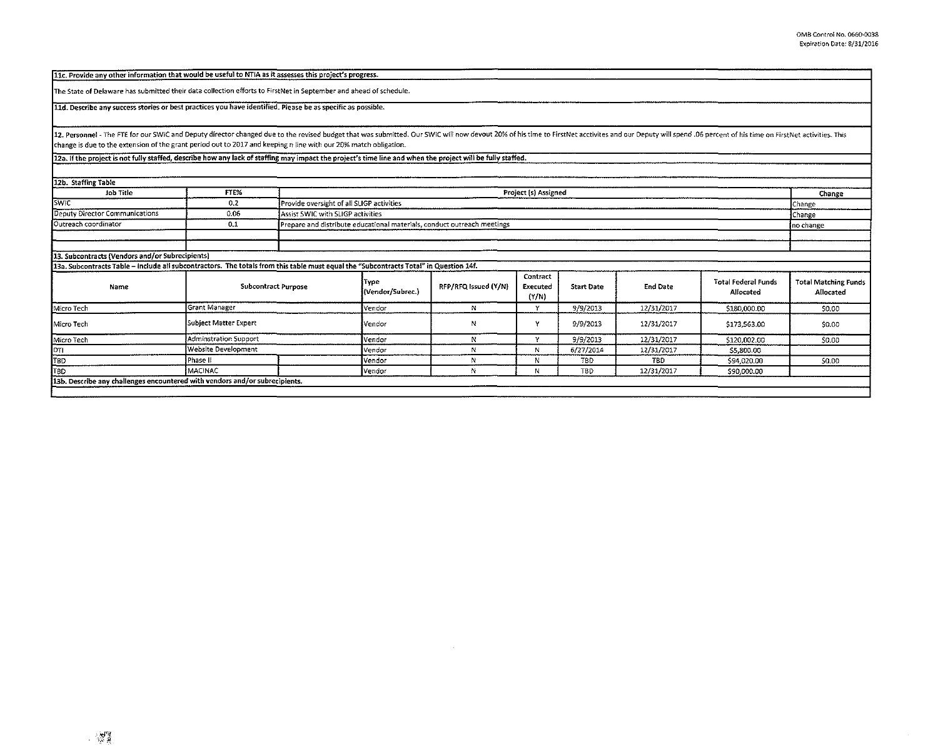| 11c. Provide any other information that would be useful to NTIA as it assesses this project's progress.                                                                                                                                                                                                                                            |                       |                            |                                           |                                                                         |                               |                   |                 |                                         |                                          |
|----------------------------------------------------------------------------------------------------------------------------------------------------------------------------------------------------------------------------------------------------------------------------------------------------------------------------------------------------|-----------------------|----------------------------|-------------------------------------------|-------------------------------------------------------------------------|-------------------------------|-------------------|-----------------|-----------------------------------------|------------------------------------------|
| The State of Delaware has submitted their data collection efforts to FirstNet in September and ahead of schedule.                                                                                                                                                                                                                                  |                       |                            |                                           |                                                                         |                               |                   |                 |                                         |                                          |
| 11d. Describe any success stories or best practices you have identified. Please be as specific as possible.                                                                                                                                                                                                                                        |                       |                            |                                           |                                                                         |                               |                   |                 |                                         |                                          |
| 12. Personnel - The FTE for our SWIC and Deputy director changed due to the revised budget that was submitted. Our SWIC will now devout 20% of his time to FirstNet acctivites and our Deputy will spend. 06 percent of his ti<br>change is due to the extension of the grant period out to 2017 and keeping n line with our 20% match obligation. |                       |                            |                                           |                                                                         |                               |                   |                 |                                         |                                          |
| 12a. If the project is not fully staffed, describe how any lack of staffing may impact the project's time line and when the project will be fully staffed.                                                                                                                                                                                         |                       |                            |                                           |                                                                         |                               |                   |                 |                                         |                                          |
|                                                                                                                                                                                                                                                                                                                                                    |                       |                            |                                           |                                                                         |                               |                   |                 |                                         |                                          |
| 12b. Staffing Table                                                                                                                                                                                                                                                                                                                                |                       |                            |                                           |                                                                         |                               |                   |                 |                                         |                                          |
| Job Title                                                                                                                                                                                                                                                                                                                                          | FTE%                  |                            | Project (s) Assigned                      |                                                                         |                               |                   |                 | Change                                  |                                          |
| <b>SWIC</b>                                                                                                                                                                                                                                                                                                                                        | 0,2                   |                            | Provide oversight of all SLIGP activities |                                                                         |                               |                   |                 |                                         | Change                                   |
| <b>Deputy Director Communications</b>                                                                                                                                                                                                                                                                                                              | 0.06                  |                            | Assist SWIC with SLIGP activities         |                                                                         |                               |                   |                 |                                         | Change                                   |
| Outreach coordinator                                                                                                                                                                                                                                                                                                                               | 0,1                   |                            |                                           | Prepare and distribute educational materials, conduct outreach meetings |                               |                   |                 |                                         | no change                                |
|                                                                                                                                                                                                                                                                                                                                                    |                       |                            |                                           |                                                                         |                               |                   |                 |                                         |                                          |
|                                                                                                                                                                                                                                                                                                                                                    |                       |                            |                                           |                                                                         |                               |                   |                 |                                         |                                          |
| 13. Subcontracts (Vendors and/or Subrecipients)                                                                                                                                                                                                                                                                                                    |                       |                            |                                           |                                                                         |                               |                   |                 |                                         |                                          |
| 13a. Subcontracts Table – Include all subcontractors. The totals from this table must equal the "Subcontracts Total" in Question 14f.                                                                                                                                                                                                              |                       |                            |                                           |                                                                         |                               |                   |                 |                                         |                                          |
| Name                                                                                                                                                                                                                                                                                                                                               |                       | <b>Subcontract Purpose</b> |                                           | RFP/RFQ Issued (Y/N)                                                    | Contract<br>Executed<br>(Y/N) | <b>Start Date</b> | <b>End Date</b> | <b>Total Federal Funds</b><br>Allocated | <b>Total Matching Funds</b><br>Allocated |
| Micro Tech                                                                                                                                                                                                                                                                                                                                         | Grant Manager         |                            |                                           | N                                                                       | Y                             | 9/9/2013          | 12/31/2017      | \$180,000.00                            | \$0.00                                   |
| Micro Tech                                                                                                                                                                                                                                                                                                                                         | Subject Matter Expert |                            |                                           | N                                                                       | Y                             | 9/9/2013          | 12/31/2017      | \$173,563.00                            | \$0.00                                   |
| Micro Tech                                                                                                                                                                                                                                                                                                                                         | Adminstration Support |                            |                                           | N                                                                       | γ                             | 9/9/2013          | 12/31/2017      | \$120,002.00                            | \$0.00                                   |
| DTI                                                                                                                                                                                                                                                                                                                                                | Website Development   |                            |                                           | N                                                                       | N                             | 6/27/2014         | 12/31/2017      | \$5,800.00                              |                                          |
| <b>TBD</b>                                                                                                                                                                                                                                                                                                                                         | i Phase II            |                            | Vendor                                    | N                                                                       | N                             | TBD               | TBD             | \$94,020.00                             | \$0.00                                   |
| TBD                                                                                                                                                                                                                                                                                                                                                | <b>IMACINAC</b>       |                            | l vendor                                  | N                                                                       | N                             | <b>TBD</b>        | 12/31/2017      | \$90,000.00                             |                                          |
| 13b. Describe any challenges encountered with vendors and/or subrecipients.                                                                                                                                                                                                                                                                        |                       |                            |                                           |                                                                         |                               |                   |                 |                                         |                                          |
|                                                                                                                                                                                                                                                                                                                                                    |                       |                            |                                           |                                                                         |                               |                   |                 |                                         |                                          |

 $\sim 0.1$